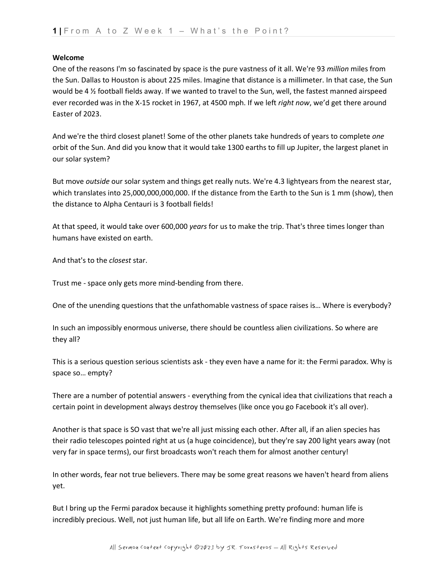## **Welcome**

One of the reasons I'm so fascinated by space is the pure vastness of it all. We're 93 *million* miles from the Sun. Dallas to Houston is about 225 miles. Imagine that distance is a millimeter. In that case, the Sun would be 4 ½ football fields away. If we wanted to travel to the Sun, well, the fastest manned airspeed ever recorded was in the X-15 rocket in 1967, at 4500 mph. If we left *right now*, we'd get there around Easter of 2023.

And we're the third closest planet! Some of the other planets take hundreds of years to complete *one*  orbit of the Sun. And did you know that it would take 1300 earths to fill up Jupiter, the largest planet in our solar system?

But move *outside* our solar system and things get really nuts. We're 4.3 lightyears from the nearest star, which translates into 25,000,000,000,000. If the distance from the Earth to the Sun is 1 mm (show), then the distance to Alpha Centauri is 3 football fields!

At that speed, it would take over 600,000 *years* for us to make the trip. That's three times longer than humans have existed on earth.

And that's to the *closest* star.

Trust me - space only gets more mind-bending from there.

One of the unending questions that the unfathomable vastness of space raises is… Where is everybody?

In such an impossibly enormous universe, there should be countless alien civilizations. So where are they all?

This is a serious question serious scientists ask - they even have a name for it: the Fermi paradox. Why is space so… empty?

There are a number of potential answers - everything from the cynical idea that civilizations that reach a certain point in development always destroy themselves (like once you go Facebook it's all over).

Another is that space is SO vast that we're all just missing each other. After all, if an alien species has their radio telescopes pointed right at us (a huge coincidence), but they're say 200 light years away (not very far in space terms), our first broadcasts won't reach them for almost another century!

In other words, fear not true believers. There may be some great reasons we haven't heard from aliens yet.

But I bring up the Fermi paradox because it highlights something pretty profound: human life is incredibly precious. Well, not just human life, but all life on Earth. We're finding more and more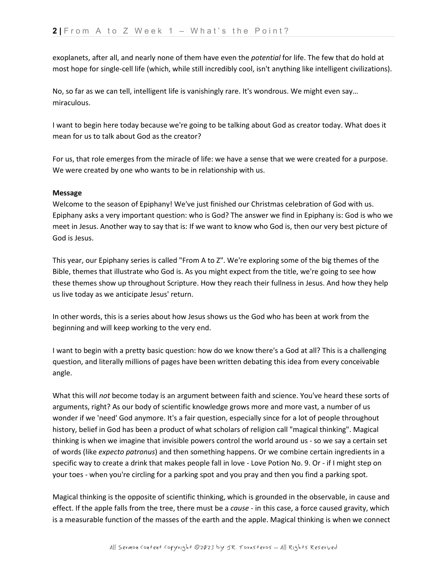exoplanets, after all, and nearly none of them have even the *potential* for life. The few that do hold at most hope for single-cell life (which, while still incredibly cool, isn't anything like intelligent civilizations).

No, so far as we can tell, intelligent life is vanishingly rare. It's wondrous. We might even say… miraculous.

I want to begin here today because we're going to be talking about God as creator today. What does it mean for us to talk about God as the creator?

For us, that role emerges from the miracle of life: we have a sense that we were created for a purpose. We were created by one who wants to be in relationship with us.

## **Message**

Welcome to the season of Epiphany! We've just finished our Christmas celebration of God with us. Epiphany asks a very important question: who is God? The answer we find in Epiphany is: God is who we meet in Jesus. Another way to say that is: If we want to know who God is, then our very best picture of God is Jesus.

This year, our Epiphany series is called "From A to Z". We're exploring some of the big themes of the Bible, themes that illustrate who God is. As you might expect from the title, we're going to see how these themes show up throughout Scripture. How they reach their fullness in Jesus. And how they help us live today as we anticipate Jesus' return.

In other words, this is a series about how Jesus shows us the God who has been at work from the beginning and will keep working to the very end.

I want to begin with a pretty basic question: how do we know there's a God at all? This is a challenging question, and literally millions of pages have been written debating this idea from every conceivable angle.

What this will *not* become today is an argument between faith and science. You've heard these sorts of arguments, right? As our body of scientific knowledge grows more and more vast, a number of us wonder if we 'need' God anymore. It's a fair question, especially since for a lot of people throughout history, belief in God has been a product of what scholars of religion call "magical thinking". Magical thinking is when we imagine that invisible powers control the world around us - so we say a certain set of words (like *expecto patronus*) and then something happens. Or we combine certain ingredients in a specific way to create a drink that makes people fall in love - Love Potion No. 9. Or - if I might step on your toes - when you're circling for a parking spot and you pray and then you find a parking spot.

Magical thinking is the opposite of scientific thinking, which is grounded in the observable, in cause and effect. If the apple falls from the tree, there must be a *cause* - in this case, a force caused gravity, which is a measurable function of the masses of the earth and the apple. Magical thinking is when we connect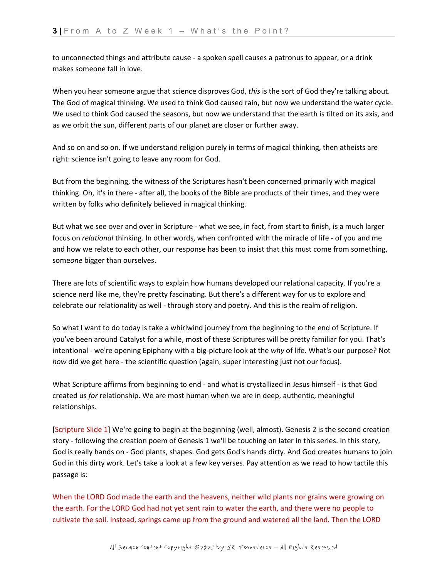to unconnected things and attribute cause - a spoken spell causes a patronus to appear, or a drink makes someone fall in love.

When you hear someone argue that science disproves God, *this* is the sort of God they're talking about. The God of magical thinking. We used to think God caused rain, but now we understand the water cycle. We used to think God caused the seasons, but now we understand that the earth is tilted on its axis, and as we orbit the sun, different parts of our planet are closer or further away.

And so on and so on. If we understand religion purely in terms of magical thinking, then atheists are right: science isn't going to leave any room for God.

But from the beginning, the witness of the Scriptures hasn't been concerned primarily with magical thinking. Oh, it's in there - after all, the books of the Bible are products of their times, and they were written by folks who definitely believed in magical thinking.

But what we see over and over in Scripture - what we see, in fact, from start to finish, is a much larger focus on *relational* thinking. In other words, when confronted with the miracle of life - of you and me and how we relate to each other, our response has been to insist that this must come from something, some*one* bigger than ourselves.

There are lots of scientific ways to explain how humans developed our relational capacity. If you're a science nerd like me, they're pretty fascinating. But there's a different way for us to explore and celebrate our relationality as well - through story and poetry. And this is the realm of religion.

So what I want to do today is take a whirlwind journey from the beginning to the end of Scripture. If you've been around Catalyst for a while, most of these Scriptures will be pretty familiar for you. That's intentional - we're opening Epiphany with a big-picture look at the *why* of life. What's our purpose? Not *how* did we get here - the scientific question (again, super interesting just not our focus).

What Scripture affirms from beginning to end - and what is crystallized in Jesus himself - is that God created us *for* relationship. We are most human when we are in deep, authentic, meaningful relationships.

[Scripture Slide 1] We're going to begin at the beginning (well, almost). Genesis 2 is the second creation story - following the creation poem of Genesis 1 we'll be touching on later in this series. In this story, God is really hands on - God plants, shapes. God gets God's hands dirty. And God creates humans to join God in this dirty work. Let's take a look at a few key verses. Pay attention as we read to how tactile this passage is:

When the LORD God made the earth and the heavens, neither wild plants nor grains were growing on the earth. For the LORD God had not yet sent rain to water the earth, and there were no people to cultivate the soil. Instead, springs came up from the ground and watered all the land. Then the LORD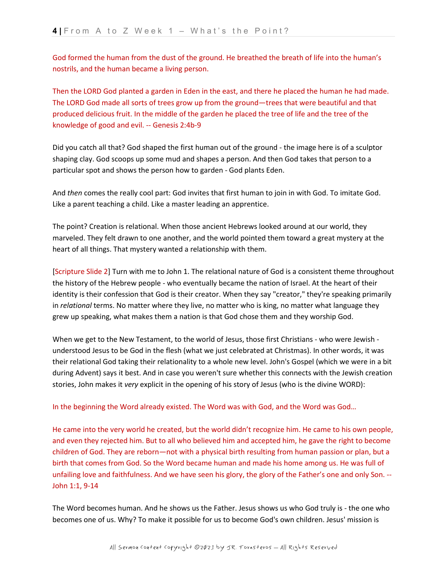God formed the human from the dust of the ground. He breathed the breath of life into the human's nostrils, and the human became a living person.

Then the LORD God planted a garden in Eden in the east, and there he placed the human he had made. The LORD God made all sorts of trees grow up from the ground—trees that were beautiful and that produced delicious fruit. In the middle of the garden he placed the tree of life and the tree of the knowledge of good and evil. -- Genesis 2:4b-9

Did you catch all that? God shaped the first human out of the ground - the image here is of a sculptor shaping clay. God scoops up some mud and shapes a person. And then God takes that person to a particular spot and shows the person how to garden - God plants Eden.

And *then* comes the really cool part: God invites that first human to join in with God. To imitate God. Like a parent teaching a child. Like a master leading an apprentice.

The point? Creation is relational. When those ancient Hebrews looked around at our world, they marveled. They felt drawn to one another, and the world pointed them toward a great mystery at the heart of all things. That mystery wanted a relationship with them.

[Scripture Slide 2] Turn with me to John 1. The relational nature of God is a consistent theme throughout the history of the Hebrew people - who eventually became the nation of Israel. At the heart of their identity is their confession that God is their creator. When they say "creator," they're speaking primarily in *relational* terms. No matter where they live, no matter who is king, no matter what language they grew up speaking, what makes them a nation is that God chose them and they worship God.

When we get to the New Testament, to the world of Jesus, those first Christians - who were Jewish understood Jesus to be God in the flesh (what we just celebrated at Christmas). In other words, it was their relational God taking their relationality to a whole new level. John's Gospel (which we were in a bit during Advent) says it best. And in case you weren't sure whether this connects with the Jewish creation stories, John makes it *very* explicit in the opening of his story of Jesus (who is the divine WORD):

In the beginning the Word already existed. The Word was with God, and the Word was God…

He came into the very world he created, but the world didn't recognize him. He came to his own people, and even they rejected him. But to all who believed him and accepted him, he gave the right to become children of God. They are reborn—not with a physical birth resulting from human passion or plan, but a birth that comes from God. So the Word became human and made his home among us. He was full of unfailing love and faithfulness. And we have seen his glory, the glory of the Father's one and only Son. -- John 1:1, 9-14

The Word becomes human. And he shows us the Father. Jesus shows us who God truly is - the one who becomes one of us. Why? To make it possible for us to become God's own children. Jesus' mission is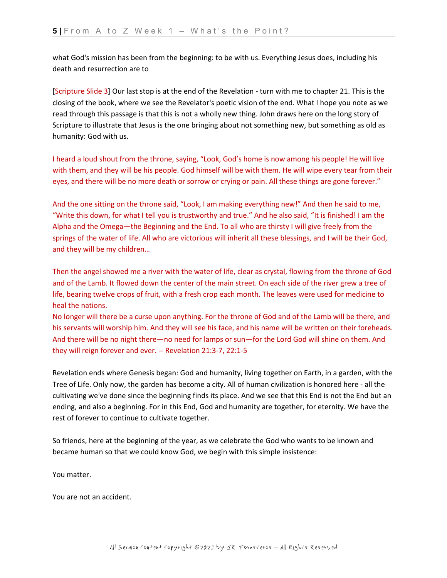what God's mission has been from the beginning: to be with us. Everything Jesus does, including his death and resurrection are to

[Scripture Slide 3] Our last stop is at the end of the Revelation - turn with me to chapter 21. This is the closing of the book, where we see the Revelator's poetic vision of the end. What I hope you note as we read through this passage is that this is not a wholly new thing. John draws here on the long story of Scripture to illustrate that Jesus is the one bringing about not something new, but something as old as humanity: God with us.

I heard a loud shout from the throne, saying, "Look, God's home is now among his people! He will live with them, and they will be his people. God himself will be with them. He will wipe every tear from their eyes, and there will be no more death or sorrow or crying or pain. All these things are gone forever."

And the one sitting on the throne said, "Look, I am making everything new!" And then he said to me, "Write this down, for what I tell you is trustworthy and true." And he also said, "It is finished! I am the Alpha and the Omega—the Beginning and the End. To all who are thirsty I will give freely from the springs of the water of life. All who are victorious will inherit all these blessings, and I will be their God, and they will be my children…

Then the angel showed me a river with the water of life, clear as crystal, flowing from the throne of God and of the Lamb. It flowed down the center of the main street. On each side of the river grew a tree of life, bearing twelve crops of fruit, with a fresh crop each month. The leaves were used for medicine to heal the nations.

No longer will there be a curse upon anything. For the throne of God and of the Lamb will be there, and his servants will worship him. And they will see his face, and his name will be written on their foreheads. And there will be no night there—no need for lamps or sun—for the Lord God will shine on them. And they will reign forever and ever. -- Revelation 21:3-7, 22:1-5

Revelation ends where Genesis began: God and humanity, living together on Earth, in a garden, with the Tree of Life. Only now, the garden has become a city. All of human civilization is honored here - all the cultivating we've done since the beginning finds its place. And we see that this End is not the End but an ending, and also a beginning. For in this End, God and humanity are together, for eternity. We have the rest of forever to continue to cultivate together.

So friends, here at the beginning of the year, as we celebrate the God who wants to be known and became human so that we could know God, we begin with this simple insistence:

You matter.

You are not an accident.